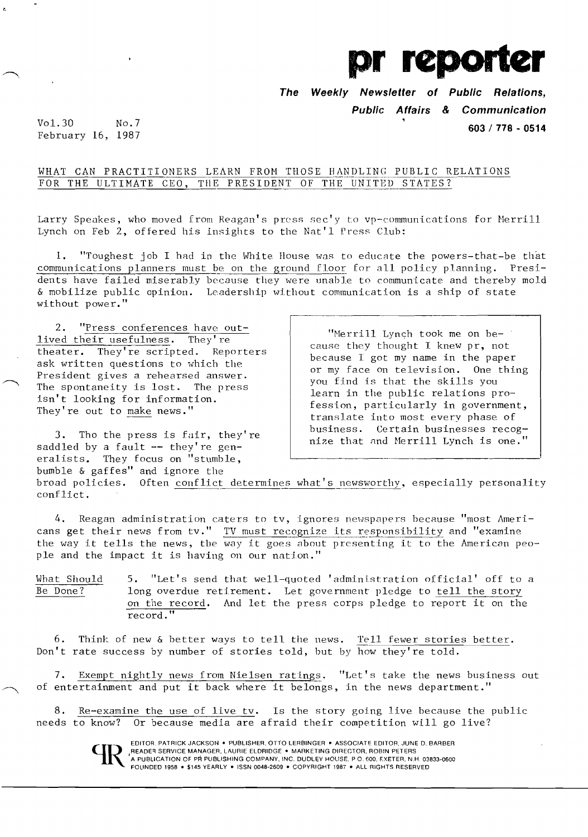

*The* **Weekly Newsletter of Public Relations, Public Affairs** *&* **Communication** 

**603/778 - 0514** 

Vol.30 February 16, 1987 No.7

## WHAT CAN PRACTITIONERS LEARN FROM THOSE HANDLING PUBLIC RELATIONS FOR THE ULTIMATE CEO, THE PRESIDENT OF THE UNITED STATES?

Larry Speakes, who moved from Reagan's press sec'y to vp-communications for Merrill Lynch on Feb 2, offered his insights to the Nat'l Press Club:

1. "Toughest job I had in the White House was to educate the powers-that-be that communications planners must be on the ground floor for all policy planning. Presidents have failed miserably because they were unable to communicate and thereby mold & mobilize public opinion. Leadership without communication is a ship of state without power."

2. "Press conferences have outlived their usefulness. They're theater. They're scripted. Reporters ask written questions to which the President gives a rehearsed answer. The spontaneity is lost. The press isn't looking for information. They're out to make news."

3. Tho the press is fair, they're saddled by a fault -- they're generalists. They focus on "stumble, bumble & gaffes" and ignore the

"Merrill Lynch took me on because they thought I knew pr, not because I got my name in the paper or my face on television. One thing you find is that the skills you learn in the public relations profession, particularly in government, translate into most every phase of business. Certain businesses recognize that and Merrill Lynch is one."

broad policies. Often conflict determines what's newsworthy, especially personality conflict.

4. Reagan administration caters to tv, ignores newspapers because "most Americans get their news from tv." TV must recognize its responsibility and "examine the way it tells the news, the way it goes about presenting it to the American people and the impact it is having on our nation."

 $\frac{\text{What Should}}{\text{Be Done}}$  5. "Let's send that well-quoted 'administration official' off to a<br>Be Done? long overdue retirement. Let government pledge to tell the story long overdue retirement. Let government pledge to tell the story on the record. And let the press corps pledge to report it on the record."

6. Think of new & better ways to tell the news. Tell fewer stories better. Don't rate success by number of stories told, but by how they're told.

7. Exempt nightly news from Nielsen ratings. "Let's take the news business out of entertainment and put it back where it belongs, in the news department."

8. Re-examine the use of live tv. Is the story going live because the public needs to know? Or because media are afraid their competition will go live?



EDITOR. PATRICK JACKSON · PUBLISHER, OTTO LERBINGER · ASSOCIATE EDITOR, JUNE D. BARBER READER SERVICE MANAGER, LAURIE ELDRIDGE . MARKETING DIRECTOR, ROBIN PETERS 'A PUBLICAliON OF PR PUBLISHING COMPANY. INC. DUDLEY HOUSE. PO. 600. EXETER. N.H 03833-0600 FOUNDED 1958 • \$145 YEARLY. ISSN 0048-2609 • COPYRIGHT 1987 • ALL RIGHTS RESERVED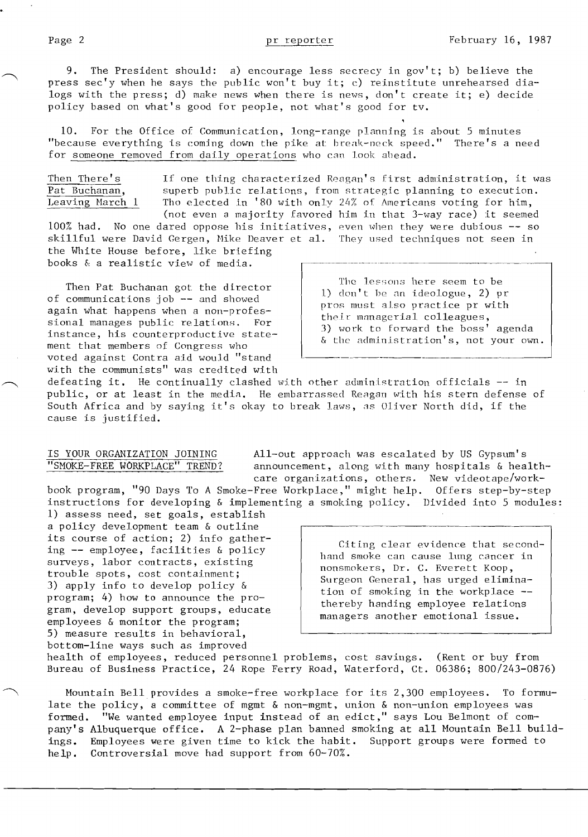9. The President should: a) encourage less secrecy in gov't; b) believe the press sec'y when he says the public won't buy it; c) reinstitute unrehearsed dialogs with the press; d) make news when there is news , don't create it; e) decide policy based on what's good for people, not what's good for tv.

10. For the Office of Communication, long-range planning is about 5 minutes "because everything is coming down the pike at: break-neck speed." There's a need for someone removed from daily operations who can look ahead.

Then There's If one thing characterized Reagan's first administration, it was<br>Pat Buchanan, superb public relations, from strategic planning to execution. Pat Buchanan, superb public relations, from strategic planning to execution.<br>Leaving March 1 Tho elected in '80 with only 24% of Americans voting for him, Tho elected in '80 with only 24% of Americans voting for him, (not even a majority favored him in that 3-way race) it seemed  $100\%$  had. No one dared oppose his initiatives, even when they were dubious  $-$  so skillful were David Gergen, Hike Deaver et a1. They used techniques not seen in

the White House before, like briefing books & a realistic view of media.

Then Pat Buchanan got: the director of communications job -- and showed again what happens when a non-professional manages public relations. For instance, his counterproductive statement that members of Congress who voted against Contra aid would "stand with the communists" was credited with

The lessons here seem to be 1) don't he an ideologue, 2) pr pros must also practice pr with their managerial colleagues, 3) work to forward the boss' agenda & the administration's, not your own.

~~~--------~--------\_.\_--

defeating it. He continually clashed with other administration officials -- in public, or at least in the media. He embarrassed Reagan with his stern defense of South Africa and by saying it's okay to break laws, as Oliver North did, if the cause is justified.

IS YOUR ORGANIZATION JOINING All-out approach was escalated by US Gypsum's<br>"SMOKE-FREE WORKPLACE" TREND? announcement, along with many hospitals & hea announcement, along with many hospitals & healthcare organizations, others. New videotape/work-

book program, "90 Days To A Smoke-Free Workplace," might help. Offers step-by-step instructions for developing & implementing a smoking policy. Divided into 5 modules:

1) assess need, set goals, establish a policy development team & outline its course of action; 2) info gathering -- employee, facilities & policy surveys, labor contracts, existing trouble spots, cost containment; 3) apply info to develop policy & program; 4) how to announce the program, develop support groups, educate employees & monitor the program; 5) measure results in behavioral, bottom-line ways such as improved

Citing clear evidence that secondhand smoke can cause lung cancer in nonsmokers, Dr. C. Everett Koop, Surgeon General, has urged elimination of smoking in the workplace thereby handing employee relations managers another emotional issue.

health of employees, reduced personnel problems, cost savings. (Rent or buy from Bureau of Business Practice, 24 Rope Ferry Road, Waterford, Ct. 06386; 800/243-0876)

Mountain Bell provides a smoke-free workplace for its 2,300 employees. To formulate the policy, a committee of mgmt & non-mgmt, union & non-union employees was formed. "We wanted employee input instead of an edict," says Lou Belmont of company's Albuquerque office. A 2-phase plan banned smoking at all Mountain Bell build-<br>ings. Employees were given time to kick the habit. Support groups were formed to ings. Employees were given time to kick the habit. help. Controversial move had support from 60-70%.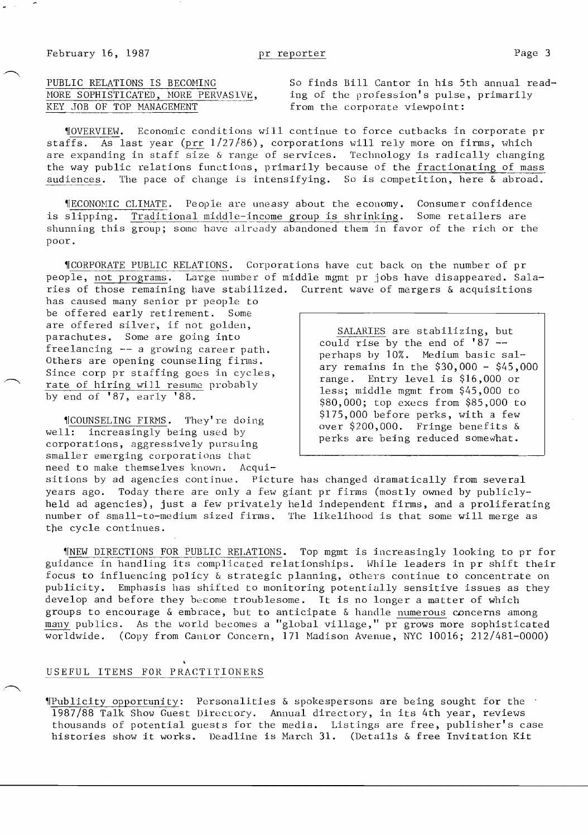PUBLIC RELATIONS IS BECOMING 50 So finds Bill Cantor in his 5th annual read-PUBLIC RELATIONS IS BECOMING So finds Bill Cantor in his 5th annual re<br>
MORE SOPHISTICATED, MORE PERVASIVE, ing of the profession's pulse, primarily<br>
KEY JOB OF TOP MANACEMENT from the corporate viewpoint: from the corporate viewpoint:

~IOVERVIE\,J. Economic conditions will continue to force cutbacks in corporate pr staffs. As last year (prr  $1/27/86$ ), corporations will rely more on firms, which are expanding in staff size & range of services. Technology is radically changing the way public relations functions, primarily because of the fractionating of mass audiences. The pace of change is intensifying. So is competition, here  $\&$  abroad.

~IECONOHIC CLUlATE. People are uneasy about the economy. Consumer confidence is slipping. Traditional middle-income group is shrinking. Some retailers are shunning this group; some have already abandoned them in favor of the rich or the poor.

~ICORPORATE PUBLIC RELATIONS. Corporations have cut back on the number of pr people, not programs. Large number of middle mgmt pr jobs have disappeared. Salaries of those remaining have stabilized. Current wave of mergers & acquisitions

has caused many senior pr people to be offered early retirement. Some<br>are offered silver, if not golden, are offered silver, if not golden,<br>
parachutes. Some are going into<br>
freelancing -- a growing career path.<br>
Others are opening counseling firms.<br>  $\begin{bmatrix}\n\text{SALARIES} \\
\text{colld rise by the end of '87 --}\n\text{perhaps by 10%. Medium basic sal-$ Others are opening counseling firms.<br>Since corp pr staffing goes in cycles,<br>rate of hiring will resume probably<br> $\begin{array}{r} \text{pernaps by 10%.} \\ \text{ary remains in the $30,000 - $45,000 \\ \text{range.} \\ \text{Intern 11} \text{m 11} \text{m 11} \text{m 2} \text{m 3} \text{m 6} \text{m 6} \text{m 6$ 

%175,000 before perks, with a few well: increasingly being used by corporations, aggressively pursuing  $\begin{array}{c|c}\n\text{S175,000 before perks, with a few over $200,000.} & \text{Fring} & \text{bending and the one of its 0.}\n\end{array}$ smaller emerging corporations that need to make themselves known. Acqui-

rate of hiring will resume probably less; middle mgmt from \$45,000 to by end of '87, early '88.  $\begin{array}{r} \hline \text{loss, middle mmt from $45,000 to} \\ \text{$80,000; top excess from $85,000 to} \end{array}$ 

sitions by ad agencies continue. Picture has changed dramatically from several years ago. Today there are only a few giant pr firms (mostly owned by publiclyheld ad agencies), just a few privately held independent firms, and a proliferating number of small-to-medium sized firms. The likelihood is that some will merge as the cycle continues.

~INEW DIRECTIONS FOR PUBLIC RELATIONS. Top mgmt is increasingly looking to pr for guidance in handling its complicated relationships. While leaders in pr shift their focus to influencing policy & strategic planning, others continue to concentrate on publicity. Emphasis has shifted to monitoring potentially sensitive issues as they develop and before they become troublesome. It is no longer a matter of which groups to encourage & embrace, but to anticipate & handle numerous concerns among many publics. As the world becomes a "global village," pr grows more sophisticated wor LdwLde . (Copy from Cantor Concern, 171 Madison Avenue, NYC 10016; 212/481-0000)

# USEFUL ITEMS FOR PRACTITIONERS

~IPublicity opportuni ty: Personalities & spokespersons are being sought for the 1987/88 Talk Show Guest Directory. Annual directory, in its 4th year, reviews thousands of potential guests for the media. Listings are free, publisher's case histories show it works. Deadline is March 31. (Details & free Invitation Kit